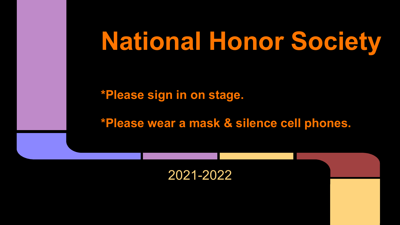# **National Honor Society**

**\*Please sign in on stage.**

**\*Please wear a mask & silence cell phones.**

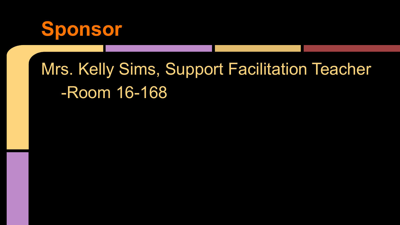

# Mrs. Kelly Sims, Support Facilitation Teacher -Room 16-168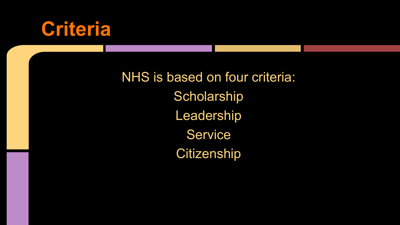

NHS is based on four criteria: **Scholarship** Leadership **Service Citizenship**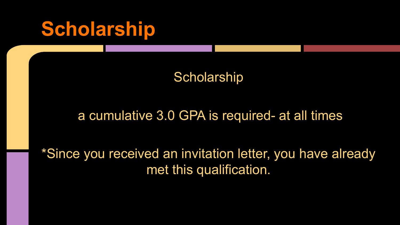# **Scholarship**

#### **Scholarship**

#### a cumulative 3.0 GPA is required- at all times

\*Since you received an invitation letter, you have already met this qualification.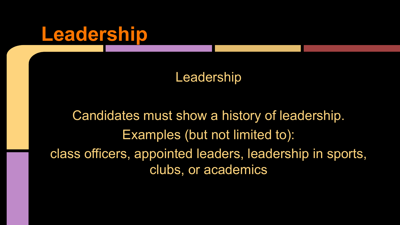### **Leadership**

#### Leadership

Candidates must show a history of leadership. Examples (but not limited to): class officers, appointed leaders, leadership in sports, clubs, or academics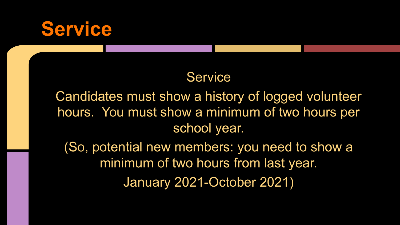### **Service**

#### **Service**

Candidates must show a history of logged volunteer hours. You must show a minimum of two hours per school year.

(So, potential new members: you need to show a minimum of two hours from last year.

January 2021-October 2021)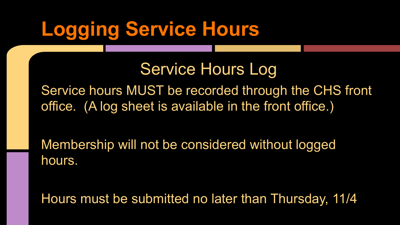# **Logging Service Hours**

Service Hours Log

Service hours MUST be recorded through the CHS front office. (A log sheet is available in the front office.)

Membership will not be considered without logged hours.

Hours must be submitted no later than Thursday, 11/4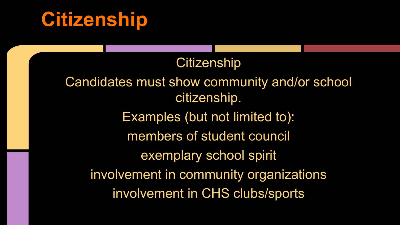# **Citizenship**

#### **Citizenship**

Candidates must show community and/or school citizenship. Examples (but not limited to): members of student council exemplary school spirit involvement in community organizations involvement in CHS clubs/sports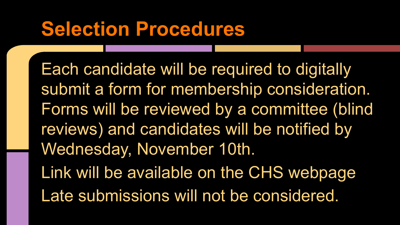# **Selection Procedures**

Each candidate will be required to digitally submit a form for membership consideration. Forms will be reviewed by a committee (blind reviews) and candidates will be notified by Wednesday, November 10th. Link will be available on the CHS webpage Late submissions will not be considered.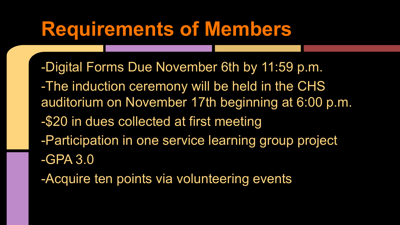### **Requirements of Members**

-Digital Forms Due November 6th by 11:59 p.m. -The induction ceremony will be held in the CHS auditorium on November 17th beginning at 6:00 p.m. -\$20 in dues collected at first meeting -Participation in one service learning group project -GPA 3.0

-Acquire ten points via volunteering events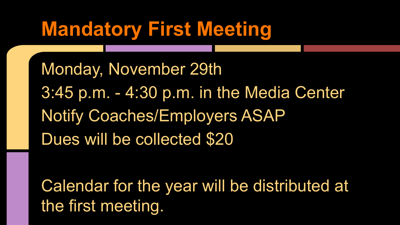# **Mandatory First Meeting**

Monday, November 29th 3:45 p.m. - 4:30 p.m. in the Media Center Notify Coaches/Employers ASAP Dues will be collected \$20

Calendar for the year will be distributed at the first meeting.